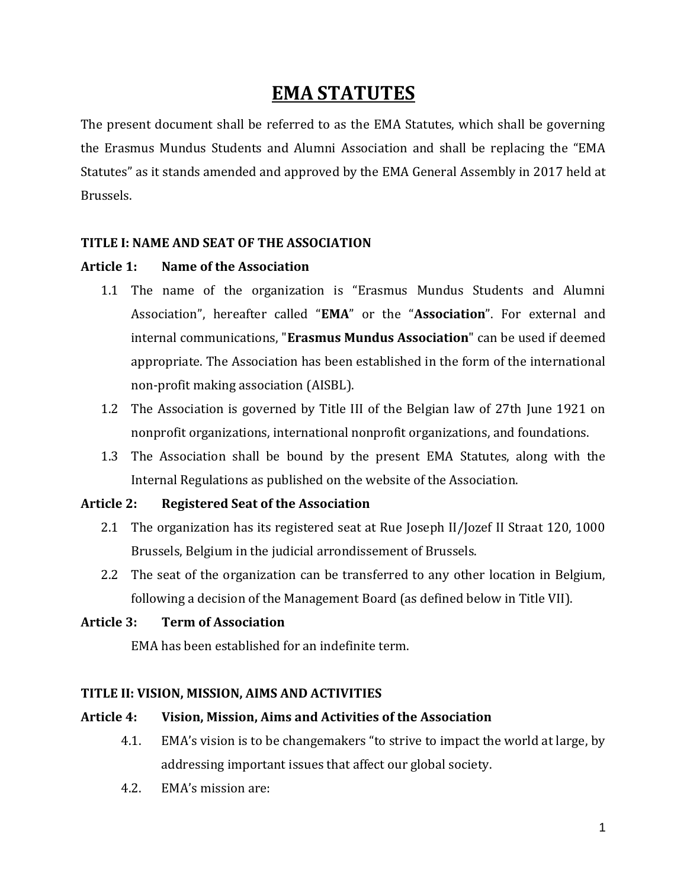# **EMA STATUTES**

The present document shall be referred to as the EMA Statutes, which shall be governing the Erasmus Mundus Students and Alumni Association and shall be replacing the "EMA Statutes" as it stands amended and approved by the EMA General Assembly in 2017 held at Brussels.

## **TITLE I: NAME AND SEAT OF THE ASSOCIATION**

## **Article 1: Name of the Association**

- 1.1 The name of the organization is "Erasmus Mundus Students and Alumni Association", hereafter called "**EMA**" or the "**Association**". For external and internal communications, "**Erasmus Mundus Association**" can be used if deemed appropriate. The Association has been established in the form of the international non-profit making association (AISBL).
- 1.2 The Association is governed by Title III of the Belgian law of 27th June 1921 on nonprofit organizations, international nonprofit organizations, and foundations.
- 1.3 The Association shall be bound by the present EMA Statutes, along with the Internal Regulations as published on the website of the Association.

#### **Article 2: Registered Seat of the Association**

- 2.1 The organization has its registered seat at Rue Joseph II/Jozef II Straat 120, 1000 Brussels, Belgium in the judicial arrondissement of Brussels.
- 2.2 The seat of the organization can be transferred to any other location in Belgium, following a decision of the Management Board (as defined below in Title VII).

#### **Article 3: Term of Association**

EMA has been established for an indefinite term.

## **TITLE II: VISION, MISSION, AIMS AND ACTIVITIES**

#### **Article 4: Vision, Mission, Aims and Activities of the Association**

- 4.1. EMA's vision is to be changemakers "to strive to impact the world at large, by addressing important issues that affect our global society.
- 4.2. EMA's mission are: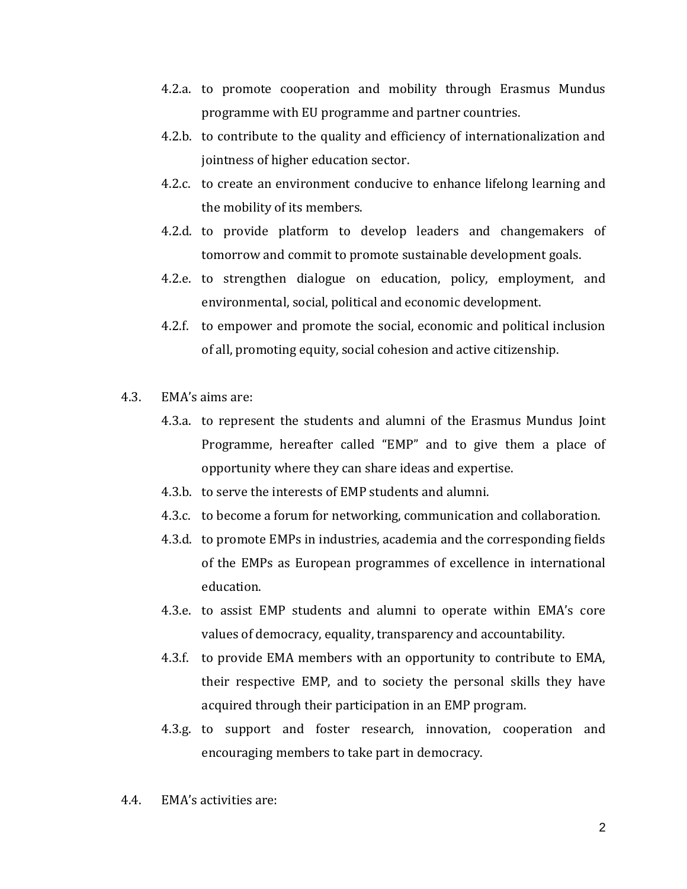- 4.2.a. to promote cooperation and mobility through Erasmus Mundus programme with EU programme and partner countries.
- 4.2.b. to contribute to the quality and efficiency of internationalization and jointness of higher education sector.
- 4.2.c. to create an environment conducive to enhance lifelong learning and the mobility of its members.
- 4.2.d. to provide platform to develop leaders and changemakers of tomorrow and commit to promote sustainable development goals.
- 4.2.e. to strengthen dialogue on education, policy, employment, and environmental, social, political and economic development.
- 4.2.f. to empower and promote the social, economic and political inclusion of all, promoting equity, social cohesion and active citizenship.
- 4.3. EMA's aims are:
	- 4.3.a. to represent the students and alumni of the Erasmus Mundus Joint Programme, hereafter called "EMP" and to give them a place of opportunity where they can share ideas and expertise.
	- 4.3.b. to serve the interests of EMP students and alumni.
	- 4.3.c. to become a forum for networking, communication and collaboration.
	- 4.3.d. to promote EMPs in industries, academia and the corresponding fields of the EMPs as European programmes of excellence in international education.
	- 4.3.e. to assist EMP students and alumni to operate within EMA's core values of democracy, equality, transparency and accountability.
	- 4.3.f. to provide EMA members with an opportunity to contribute to EMA, their respective EMP, and to society the personal skills they have acquired through their participation in an EMP program.
	- 4.3.g. to support and foster research, innovation, cooperation and encouraging members to take part in democracy.
- 4.4. EMA's activities are: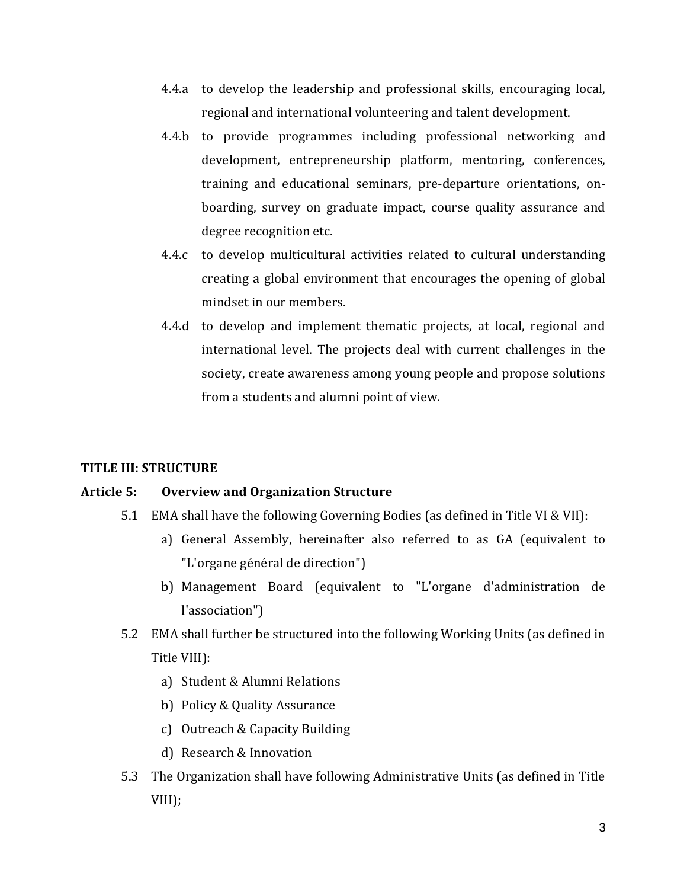- 4.4.a to develop the leadership and professional skills, encouraging local, regional and international volunteering and talent development.
- 4.4.b to provide programmes including professional networking and development, entrepreneurship platform, mentoring, conferences, training and educational seminars, pre-departure orientations, onboarding, survey on graduate impact, course quality assurance and degree recognition etc.
- 4.4.c to develop multicultural activities related to cultural understanding creating a global environment that encourages the opening of global mindset in our members.
- 4.4.d to develop and implement thematic projects, at local, regional and international level. The projects deal with current challenges in the society, create awareness among young people and propose solutions from a students and alumni point of view.

## **TITLE III: STRUCTURE**

## **Article 5: Overview and Organization Structure**

- 5.1 EMA shall have the following Governing Bodies (as defined in Title VI & VII):
	- a) General Assembly, hereinafter also referred to as GA (equivalent to "L'organe général de direction")
	- b) Management Board (equivalent to "L'organe d'administration de l'association")
- 5.2 EMA shall further be structured into the following Working Units (as defined in Title VIII):
	- a) Student & Alumni Relations
	- b) Policy & Quality Assurance
	- c) Outreach & Capacity Building
	- d) Research & Innovation
- 5.3 The Organization shall have following Administrative Units (as defined in Title VIII);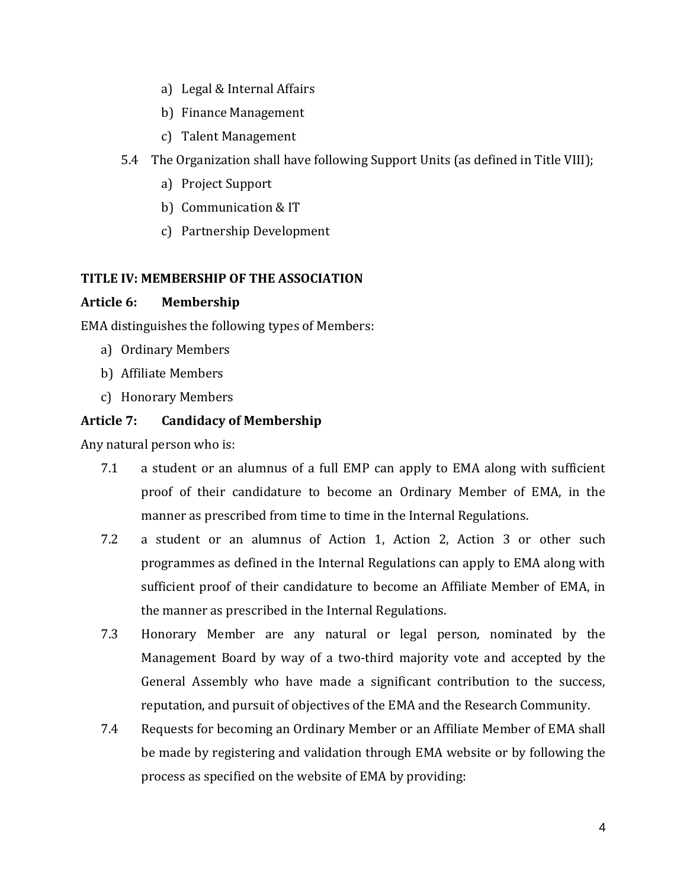- a) Legal & Internal Affairs
- b) Finance Management
- c) Talent Management
- 5.4 The Organization shall have following Support Units (as defined in Title VIII);
	- a) Project Support
	- b) Communication & IT
	- c) Partnership Development

# **TITLE IV: MEMBERSHIP OF THE ASSOCIATION**

## **Article 6: Membership**

EMA distinguishes the following types of Members:

- a) Ordinary Members
- b) Affiliate Members
- c) Honorary Members

# **Article 7: Candidacy of Membership**

Any natural person who is:

- 7.1 a student or an alumnus of a full EMP can apply to EMA along with sufficient proof of their candidature to become an Ordinary Member of EMA, in the manner as prescribed from time to time in the Internal Regulations.
- 7.2 a student or an alumnus of Action 1, Action 2, Action 3 or other such programmes as defined in the Internal Regulations can apply to EMA along with sufficient proof of their candidature to become an Affiliate Member of EMA, in the manner as prescribed in the Internal Regulations.
- 7.3 Honorary Member are any natural or legal person, nominated by the Management Board by way of a two-third majority vote and accepted by the General Assembly who have made a significant contribution to the success, reputation, and pursuit of objectives of the EMA and the Research Community.
- 7.4 Requests for becoming an Ordinary Member or an Affiliate Member of EMA shall be made by registering and validation through EMA website or by following the process as specified on the website of EMA by providing: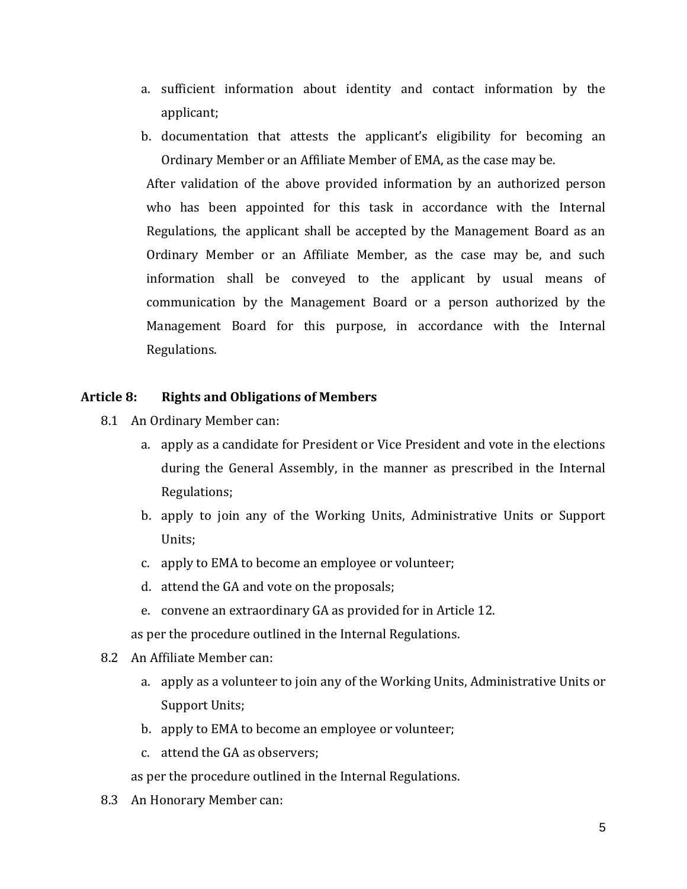- a. sufficient information about identity and contact information by the applicant;
- b. documentation that attests the applicant's eligibility for becoming an Ordinary Member or an Affiliate Member of EMA, as the case may be.

After validation of the above provided information by an authorized person who has been appointed for this task in accordance with the Internal Regulations, the applicant shall be accepted by the Management Board as an Ordinary Member or an Affiliate Member, as the case may be, and such information shall be conveyed to the applicant by usual means of communication by the Management Board or a person authorized by the Management Board for this purpose, in accordance with the Internal Regulations.

## **Article 8: Rights and Obligations of Members**

- 8.1 An Ordinary Member can:
	- a. apply as a candidate for President or Vice President and vote in the elections during the General Assembly, in the manner as prescribed in the Internal Regulations;
	- b. apply to join any of the Working Units, Administrative Units or Support Units;
	- c. apply to EMA to become an employee or volunteer;
	- d. attend the GA and vote on the proposals;
	- e. convene an extraordinary GA as provided for in Article 12.

as per the procedure outlined in the Internal Regulations.

- 8.2 An Affiliate Member can:
	- a. apply as a volunteer to join any of the Working Units, Administrative Units or Support Units;
	- b. apply to EMA to become an employee or volunteer;
	- c. attend the GA as observers;

as per the procedure outlined in the Internal Regulations.

8.3 An Honorary Member can: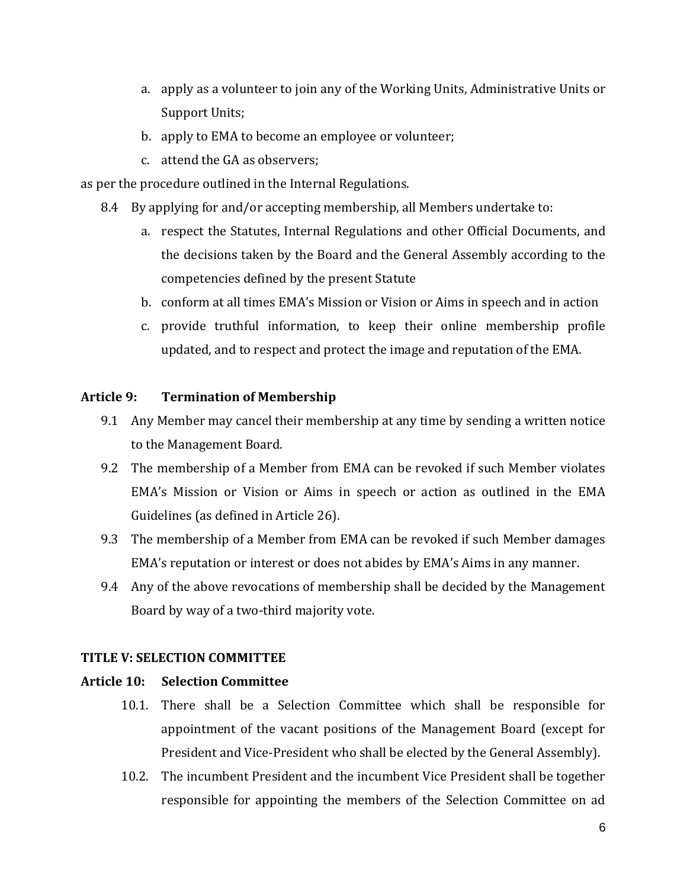- a. apply as a volunteer to join any of the Working Units, Administrative Units or Support Units;
- b. apply to EMA to become an employee or volunteer;
- c. attend the GA as observers;

as per the procedure outlined in the Internal Regulations.

- 8.4 By applying for and/or accepting membership, all Members undertake to:
	- a. respect the Statutes, Internal Regulations and other Official Documents, and the decisions taken by the Board and the General Assembly according to the competencies defined by the present Statute
	- b. conform at all times EMA's Mission or Vision or Aims in speech and in action
	- c. provide truthful information, to keep their online membership profile updated, and to respect and protect the image and reputation of the EMA.

## **Article 9: Termination of Membership**

- 9.1 Any Member may cancel their membership at any time by sending a written notice to the Management Board.
- 9.2 The membership of a Member from EMA can be revoked if such Member violates EMA's Mission or Vision or Aims in speech or action as outlined in the EMA Guidelines (as defined in Article 26).
- 9.3 The membership of a Member from EMA can be revoked if such Member damages EMA's reputation or interest or does not abides by EMA's Aims in any manner.
- 9.4 Any of the above revocations of membership shall be decided by the Management Board by way of a two-third majority vote.

# **TITLE V: SELECTION COMMITTEE**

## **Article 10: Selection Committee**

- 10.1. There shall be a Selection Committee which shall be responsible for appointment of the vacant positions of the Management Board (except for President and Vice-President who shall be elected by the General Assembly).
- 10.2. The incumbent President and the incumbent Vice President shall be together responsible for appointing the members of the Selection Committee on ad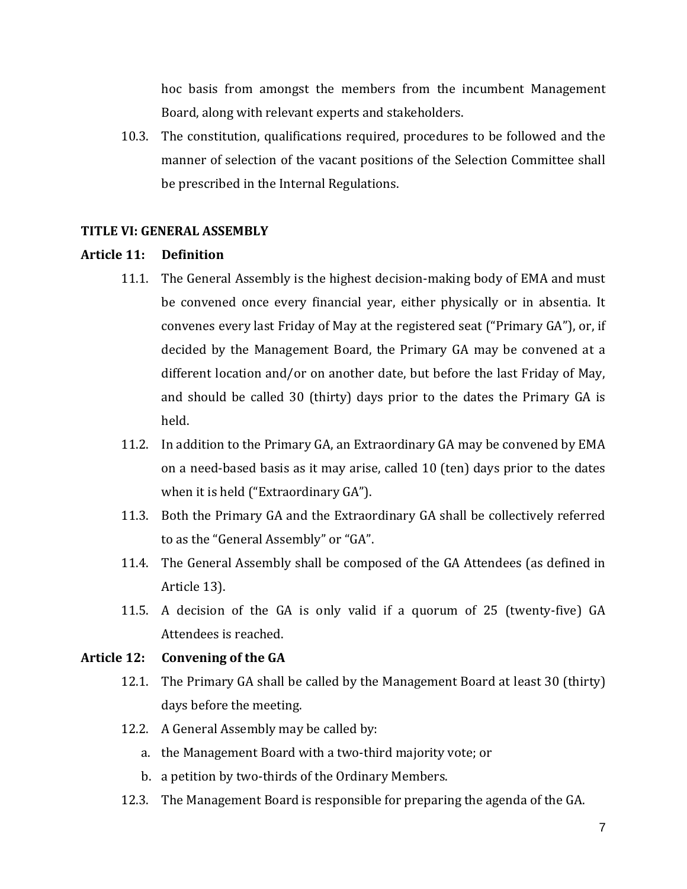hoc basis from amongst the members from the incumbent Management Board, along with relevant experts and stakeholders.

10.3. The constitution, qualifications required, procedures to be followed and the manner of selection of the vacant positions of the Selection Committee shall be prescribed in the Internal Regulations.

#### **TITLE VI: GENERAL ASSEMBLY**

#### **Article 11: Definition**

- 11.1. The General Assembly is the highest decision-making body of EMA and must be convened once every financial year, either physically or in absentia. It convenes every last Friday of May at the registered seat ("Primary GA"), or, if decided by the Management Board, the Primary GA may be convened at a different location and/or on another date, but before the last Friday of May, and should be called 30 (thirty) days prior to the dates the Primary GA is held.
- 11.2. In addition to the Primary GA, an Extraordinary GA may be convened by EMA on a need-based basis as it may arise, called 10 (ten) days prior to the dates when it is held ("Extraordinary GA").
- 11.3. Both the Primary GA and the Extraordinary GA shall be collectively referred to as the "General Assembly" or "GA".
- 11.4. The General Assembly shall be composed of the GA Attendees (as defined in Article 13).
- 11.5. A decision of the GA is only valid if a quorum of 25 (twenty-five) GA Attendees is reached.

# **Article 12: Convening of the GA**

- 12.1. The Primary GA shall be called by the Management Board at least 30 (thirty) days before the meeting.
- 12.2. A General Assembly may be called by:
	- a. the Management Board with a two-third majority vote; or
	- b. a petition by two-thirds of the Ordinary Members.
- 12.3. The Management Board is responsible for preparing the agenda of the GA.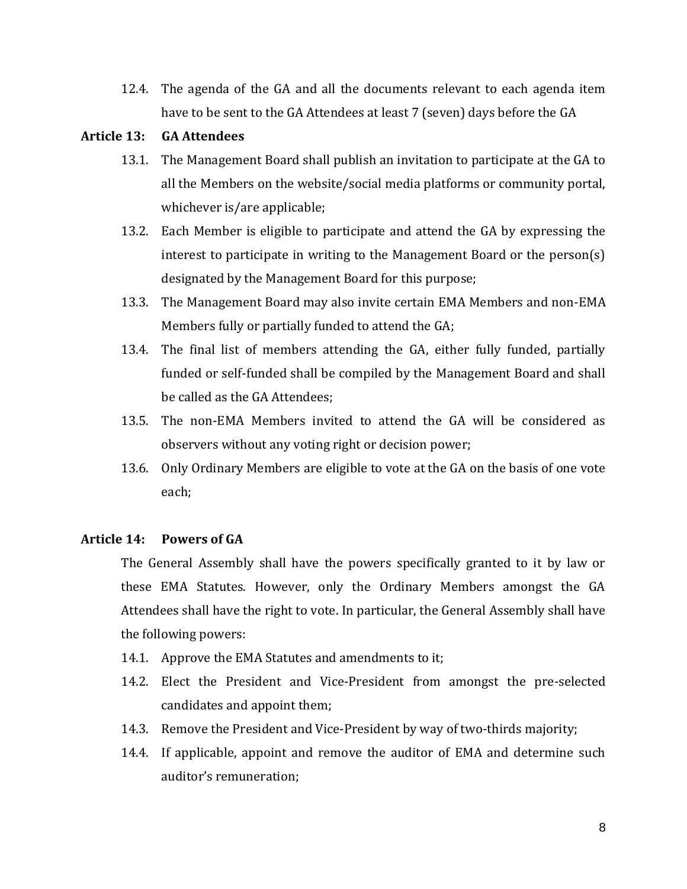12.4. The agenda of the GA and all the documents relevant to each agenda item have to be sent to the GA Attendees at least 7 (seven) days before the GA

## **Article 13: GA Attendees**

- 13.1. The Management Board shall publish an invitation to participate at the GA to all the Members on the website/social media platforms or community portal, whichever is/are applicable;
- 13.2. Each Member is eligible to participate and attend the GA by expressing the interest to participate in writing to the Management Board or the person(s) designated by the Management Board for this purpose;
- 13.3. The Management Board may also invite certain EMA Members and non-EMA Members fully or partially funded to attend the GA;
- 13.4. The final list of members attending the GA, either fully funded, partially funded or self-funded shall be compiled by the Management Board and shall be called as the GA Attendees;
- 13.5. The non-EMA Members invited to attend the GA will be considered as observers without any voting right or decision power;
- 13.6. Only Ordinary Members are eligible to vote at the GA on the basis of one vote each;

#### **Article 14: Powers of GA**

The General Assembly shall have the powers specifically granted to it by law or these EMA Statutes. However, only the Ordinary Members amongst the GA Attendees shall have the right to vote. In particular, the General Assembly shall have the following powers:

- 14.1. Approve the EMA Statutes and amendments to it;
- 14.2. Elect the President and Vice-President from amongst the pre-selected candidates and appoint them;
- 14.3. Remove the President and Vice-President by way of two-thirds majority;
- 14.4. If applicable, appoint and remove the auditor of EMA and determine such auditor's remuneration;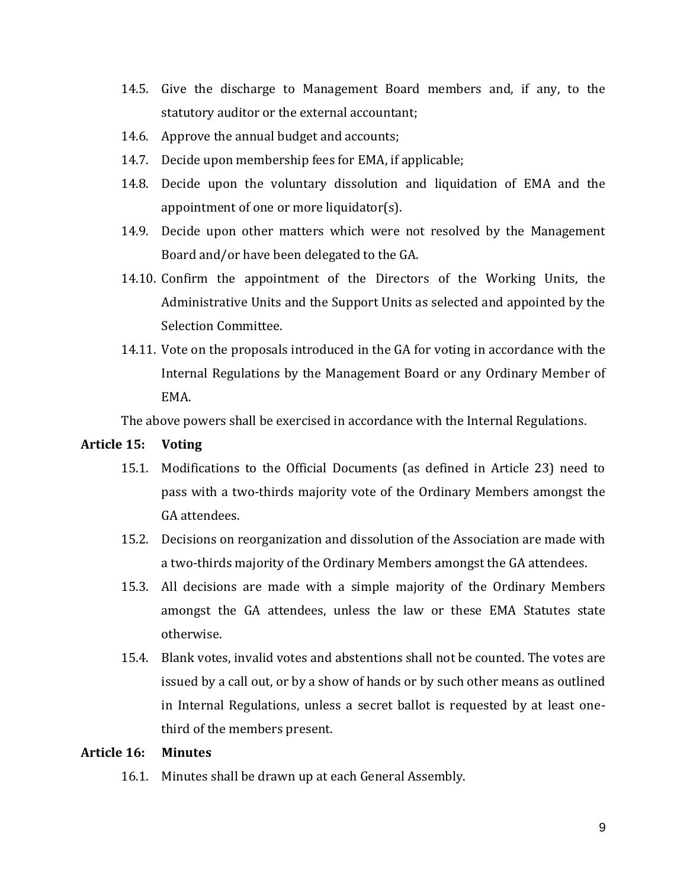- 14.5. Give the discharge to Management Board members and, if any, to the statutory auditor or the external accountant;
- 14.6. Approve the annual budget and accounts;
- 14.7. Decide upon membership fees for EMA, if applicable;
- 14.8. Decide upon the voluntary dissolution and liquidation of EMA and the appointment of one or more liquidator(s).
- 14.9. Decide upon other matters which were not resolved by the Management Board and/or have been delegated to the GA.
- 14.10. Confirm the appointment of the Directors of the Working Units, the Administrative Units and the Support Units as selected and appointed by the Selection Committee.
- 14.11. Vote on the proposals introduced in the GA for voting in accordance with the Internal Regulations by the Management Board or any Ordinary Member of EMA.

The above powers shall be exercised in accordance with the Internal Regulations.

#### **Article 15: Voting**

- 15.1. Modifications to the Official Documents (as defined in Article 23) need to pass with a two-thirds majority vote of the Ordinary Members amongst the GA attendees.
- 15.2. Decisions on reorganization and dissolution of the Association are made with a two-thirds majority of the Ordinary Members amongst the GA attendees.
- 15.3. All decisions are made with a simple majority of the Ordinary Members amongst the GA attendees, unless the law or these EMA Statutes state otherwise.
- 15.4. Blank votes, invalid votes and abstentions shall not be counted. The votes are issued by a call out, or by a show of hands or by such other means as outlined in Internal Regulations, unless a secret ballot is requested by at least onethird of the members present.

#### **Article 16: Minutes**

16.1. Minutes shall be drawn up at each General Assembly.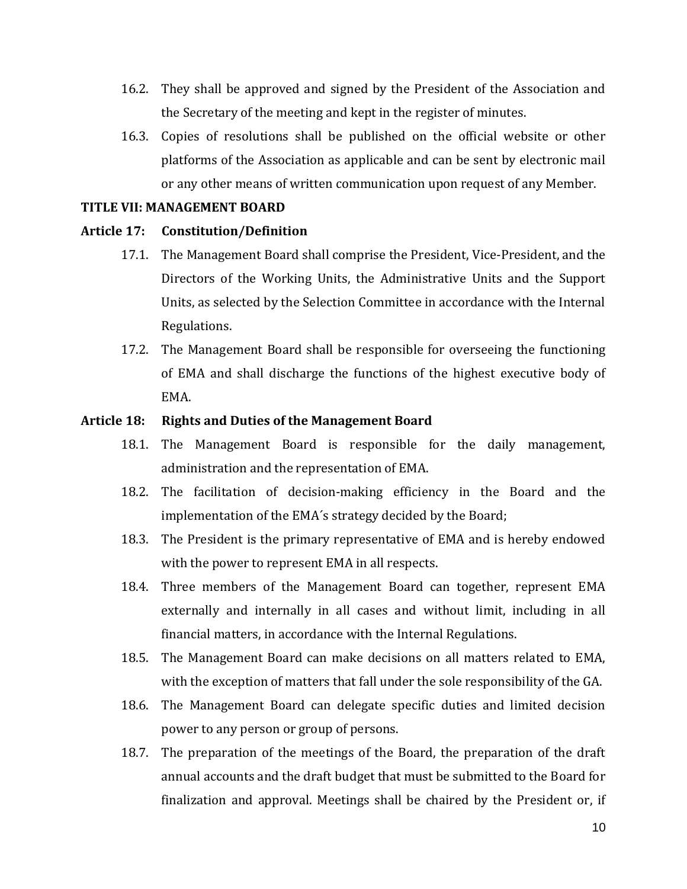- 16.2. They shall be approved and signed by the President of the Association and the Secretary of the meeting and kept in the register of minutes.
- 16.3. Copies of resolutions shall be published on the official website or other platforms of the Association as applicable and can be sent by electronic mail or any other means of written communication upon request of any Member.

## **TITLE VII: MANAGEMENT BOARD**

#### **Article 17: Constitution/Definition**

- 17.1. The Management Board shall comprise the President, Vice-President, and the Directors of the Working Units, the Administrative Units and the Support Units, as selected by the Selection Committee in accordance with the Internal Regulations.
- 17.2. The Management Board shall be responsible for overseeing the functioning of EMA and shall discharge the functions of the highest executive body of EMA.

## **Article 18: Rights and Duties of the Management Board**

- 18.1. The Management Board is responsible for the daily management, administration and the representation of EMA.
- 18.2. The facilitation of decision-making efficiency in the Board and the implementation of the EMA´s strategy decided by the Board;
- 18.3. The President is the primary representative of EMA and is hereby endowed with the power to represent EMA in all respects.
- 18.4. Three members of the Management Board can together, represent EMA externally and internally in all cases and without limit, including in all financial matters, in accordance with the Internal Regulations.
- 18.5. The Management Board can make decisions on all matters related to EMA, with the exception of matters that fall under the sole responsibility of the GA.
- 18.6. The Management Board can delegate specific duties and limited decision power to any person or group of persons.
- 18.7. The preparation of the meetings of the Board, the preparation of the draft annual accounts and the draft budget that must be submitted to the Board for finalization and approval. Meetings shall be chaired by the President or, if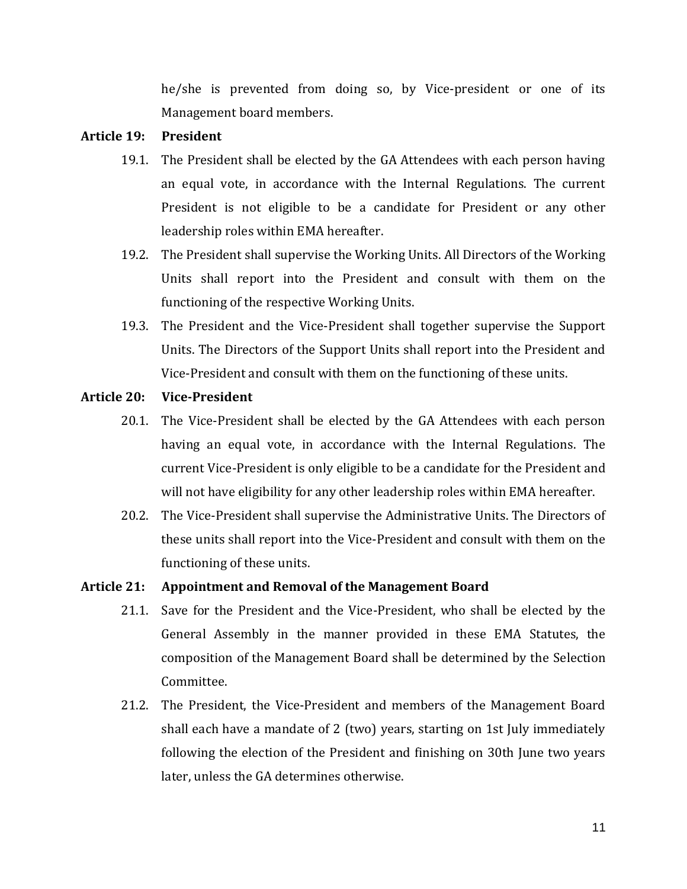he/she is prevented from doing so, by Vice-president or one of its Management board members.

#### **Article 19: President**

- 19.1. The President shall be elected by the GA Attendees with each person having an equal vote, in accordance with the Internal Regulations. The current President is not eligible to be a candidate for President or any other leadership roles within EMA hereafter.
- 19.2. The President shall supervise the Working Units. All Directors of the Working Units shall report into the President and consult with them on the functioning of the respective Working Units.
- 19.3. The President and the Vice-President shall together supervise the Support Units. The Directors of the Support Units shall report into the President and Vice-President and consult with them on the functioning of these units.

## **Article 20: Vice-President**

- 20.1. The Vice-President shall be elected by the GA Attendees with each person having an equal vote, in accordance with the Internal Regulations. The current Vice-President is only eligible to be a candidate for the President and will not have eligibility for any other leadership roles within EMA hereafter.
- 20.2. The Vice-President shall supervise the Administrative Units. The Directors of these units shall report into the Vice-President and consult with them on the functioning of these units.

## **Article 21: Appointment and Removal of the Management Board**

- 21.1. Save for the President and the Vice-President, who shall be elected by the General Assembly in the manner provided in these EMA Statutes, the composition of the Management Board shall be determined by the Selection Committee.
- 21.2. The President, the Vice-President and members of the Management Board shall each have a mandate of 2 (two) years, starting on 1st July immediately following the election of the President and finishing on 30th June two years later, unless the GA determines otherwise.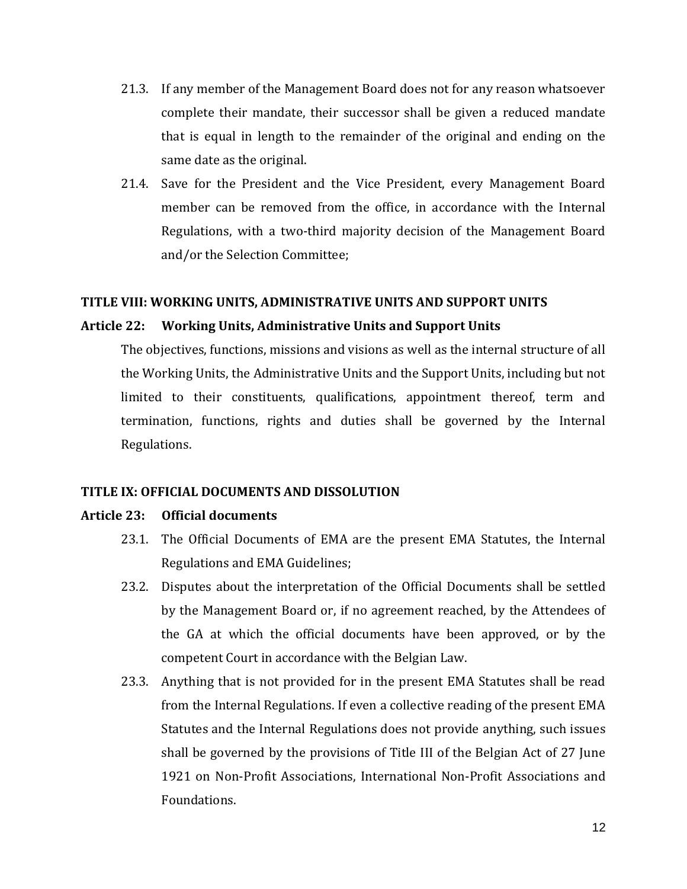- 21.3. If any member of the Management Board does not for any reason whatsoever complete their mandate, their successor shall be given a reduced mandate that is equal in length to the remainder of the original and ending on the same date as the original.
- 21.4. Save for the President and the Vice President, every Management Board member can be removed from the office, in accordance with the Internal Regulations, with a two-third majority decision of the Management Board and/or the Selection Committee;

#### **TITLE VIII: WORKING UNITS, ADMINISTRATIVE UNITS AND SUPPORT UNITS**

## **Article 22: Working Units, Administrative Units and Support Units**

The objectives, functions, missions and visions as well as the internal structure of all the Working Units, the Administrative Units and the Support Units, including but not limited to their constituents, qualifications, appointment thereof, term and termination, functions, rights and duties shall be governed by the Internal Regulations.

#### **TITLE IX: OFFICIAL DOCUMENTS AND DISSOLUTION**

#### **Article 23: Official documents**

- 23.1. The Official Documents of EMA are the present EMA Statutes, the Internal Regulations and EMA Guidelines;
- 23.2. Disputes about the interpretation of the Official Documents shall be settled by the Management Board or, if no agreement reached, by the Attendees of the GA at which the official documents have been approved, or by the competent Court in accordance with the Belgian Law.
- 23.3. Anything that is not provided for in the present EMA Statutes shall be read from the Internal Regulations. If even a collective reading of the present EMA Statutes and the Internal Regulations does not provide anything, such issues shall be governed by the provisions of Title III of the Belgian Act of 27 June 1921 on Non-Profit Associations, International Non-Profit Associations and Foundations.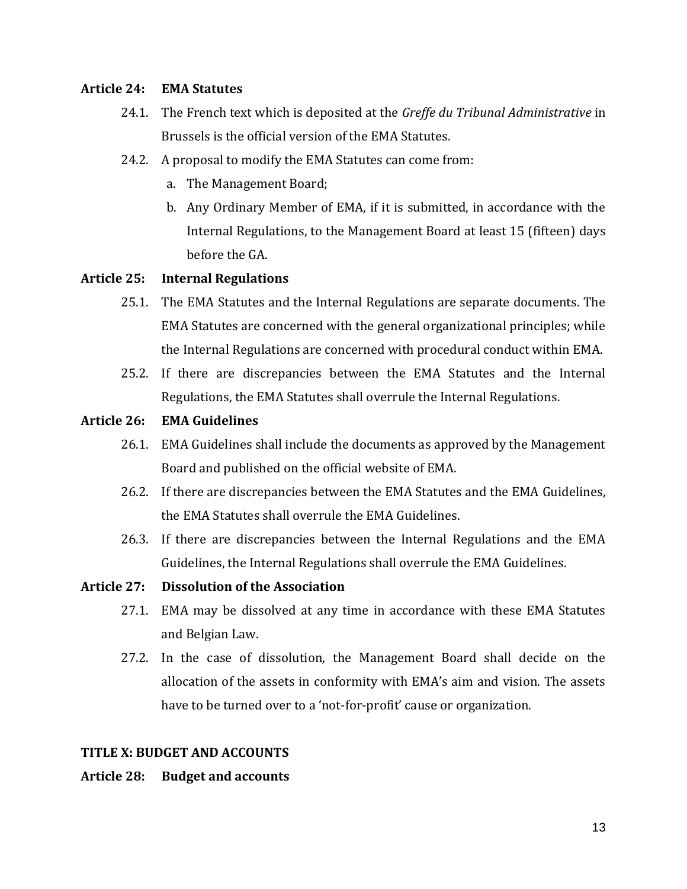## **Article 24: EMA Statutes**

- 24.1. The French text which is deposited at the *Greffe du Tribunal Administrative* in Brussels is the official version of the EMA Statutes.
- 24.2. A proposal to modify the EMA Statutes can come from:
	- a. The Management Board;
	- b. Any Ordinary Member of EMA, if it is submitted, in accordance with the Internal Regulations, to the Management Board at least 15 (fifteen) days before the GA.

## **Article 25: Internal Regulations**

- 25.1. The EMA Statutes and the Internal Regulations are separate documents. The EMA Statutes are concerned with the general organizational principles; while the Internal Regulations are concerned with procedural conduct within EMA.
- 25.2. If there are discrepancies between the EMA Statutes and the Internal Regulations, the EMA Statutes shall overrule the Internal Regulations.

## **Article 26: EMA Guidelines**

- 26.1. EMA Guidelines shall include the documents as approved by the Management Board and published on the official website of EMA.
- 26.2. If there are discrepancies between the EMA Statutes and the EMA Guidelines, the EMA Statutes shall overrule the EMA Guidelines.
- 26.3. If there are discrepancies between the Internal Regulations and the EMA Guidelines, the Internal Regulations shall overrule the EMA Guidelines.
- **Article 27: Dissolution of the Association** 
	- 27.1. EMA may be dissolved at any time in accordance with these EMA Statutes and Belgian Law.
	- 27.2. In the case of dissolution, the Management Board shall decide on the allocation of the assets in conformity with EMA's aim and vision. The assets have to be turned over to a 'not-for-profit' cause or organization.

#### **TITLE X: BUDGET AND ACCOUNTS**

#### **Article 28: Budget and accounts**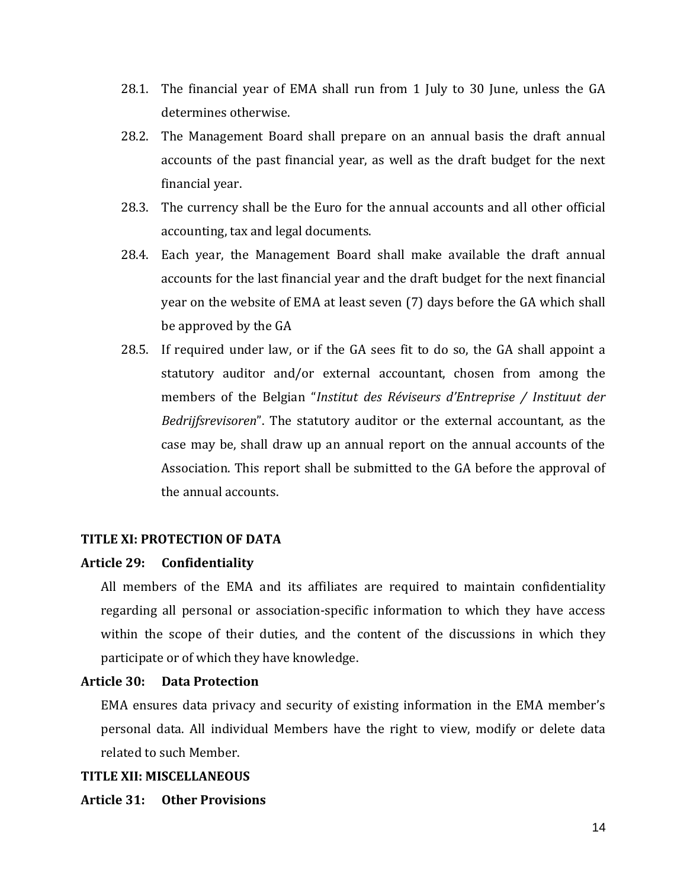- 28.1. The financial year of EMA shall run from 1 July to 30 June, unless the GA determines otherwise.
- 28.2. The Management Board shall prepare on an annual basis the draft annual accounts of the past financial year, as well as the draft budget for the next financial year.
- 28.3. The currency shall be the Euro for the annual accounts and all other official accounting, tax and legal documents.
- 28.4. Each year, the Management Board shall make available the draft annual accounts for the last financial year and the draft budget for the next financial year on the website of EMA at least seven (7) days before the GA which shall be approved by the GA
- 28.5. If required under law, or if the GA sees fit to do so, the GA shall appoint a statutory auditor and/or external accountant, chosen from among the members of the Belgian "*Institut des Réviseurs d'Entreprise / Instituut der Bedrijfsrevisoren*". The statutory auditor or the external accountant, as the case may be, shall draw up an annual report on the annual accounts of the Association. This report shall be submitted to the GA before the approval of the annual accounts.

#### **TITLE XI: PROTECTION OF DATA**

#### **Article 29: Confidentiality**

All members of the EMA and its affiliates are required to maintain confidentiality regarding all personal or association-specific information to which they have access within the scope of their duties, and the content of the discussions in which they participate or of which they have knowledge.

#### **Article 30: Data Protection**

EMA ensures data privacy and security of existing information in the EMA member's personal data. All individual Members have the right to view, modify or delete data related to such Member.

#### **TITLE XII: MISCELLANEOUS**

#### **Article 31: Other Provisions**